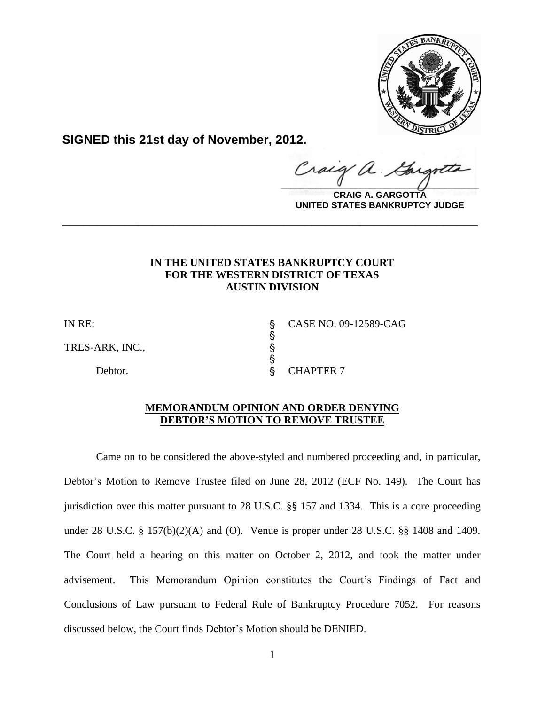

**SIGNED this 21st day of November, 2012.**

 $\frac{1}{2}$ 

**CRAIG A. GARGOTTA UNITED STATES BANKRUPTCY JUDGE**

# **IN THE UNITED STATES BANKRUPTCY COURT FOR THE WESTERN DISTRICT OF TEXAS AUSTIN DIVISION**

**\_\_\_\_\_\_\_\_\_\_\_\_\_\_\_\_\_\_\_\_\_\_\_\_\_\_\_\_\_\_\_\_\_\_\_\_\_\_\_\_\_\_\_\_\_\_\_\_\_\_\_\_\_\_\_\_\_\_\_\_**

s<br>S

**S** 

TRES-ARK, INC., '

IN RE: ' CASE NO. 09-12589-CAG

Debtor. S CHAPTER 7

## **MEMORANDUM OPINION AND ORDER DENYING DEBTOR'S MOTION TO REMOVE TRUSTEE**

Came on to be considered the above-styled and numbered proceeding and, in particular, Debtor's Motion to Remove Trustee filed on June 28, 2012 (ECF No. 149). The Court has jurisdiction over this matter pursuant to 28 U.S.C. §§ 157 and 1334. This is a core proceeding under 28 U.S.C. § 157(b)(2)(A) and (O). Venue is proper under 28 U.S.C. §§ 1408 and 1409. The Court held a hearing on this matter on October 2, 2012, and took the matter under advisement. This Memorandum Opinion constitutes the Court's Findings of Fact and Conclusions of Law pursuant to Federal Rule of Bankruptcy Procedure 7052. For reasons discussed below, the Court finds Debtor's Motion should be DENIED.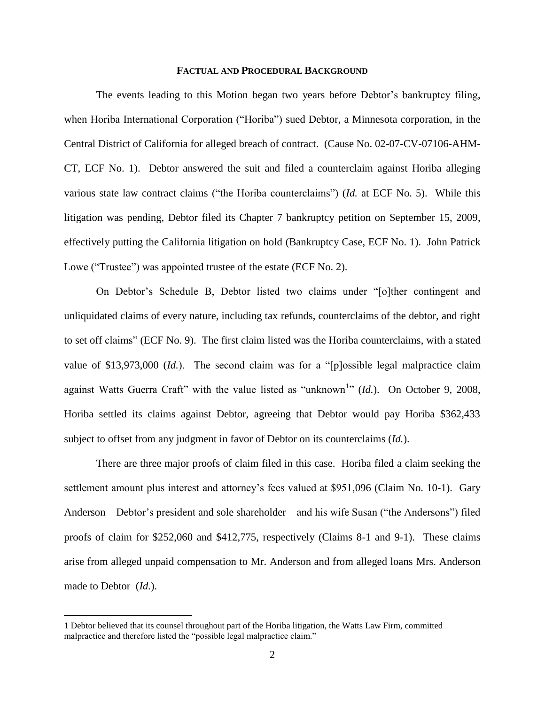### **FACTUAL AND PROCEDURAL BACKGROUND**

The events leading to this Motion began two years before Debtor's bankruptcy filing, when Horiba International Corporation ("Horiba") sued Debtor, a Minnesota corporation, in the Central District of California for alleged breach of contract. (Cause No. 02-07-CV-07106-AHM-CT, ECF No. 1). Debtor answered the suit and filed a counterclaim against Horiba alleging various state law contract claims ("the Horiba counterclaims") (*Id.* at ECF No. 5). While this litigation was pending, Debtor filed its Chapter 7 bankruptcy petition on September 15, 2009, effectively putting the California litigation on hold (Bankruptcy Case, ECF No. 1). John Patrick Lowe ("Trustee") was appointed trustee of the estate (ECF No. 2).

On Debtor's Schedule B, Debtor listed two claims under "[o]ther contingent and unliquidated claims of every nature, including tax refunds, counterclaims of the debtor, and right to set off claims" (ECF No. 9). The first claim listed was the Horiba counterclaims, with a stated value of \$13,973,000 (*Id.*). The second claim was for a "[p]ossible legal malpractice claim against Watts Guerra Craft" with the value listed as "unknown<sup>1</sup>" (*Id.*). On October 9, 2008, Horiba settled its claims against Debtor, agreeing that Debtor would pay Horiba \$362,433 subject to offset from any judgment in favor of Debtor on its counterclaims (*Id.*).

There are three major proofs of claim filed in this case. Horiba filed a claim seeking the settlement amount plus interest and attorney's fees valued at \$951,096 (Claim No. 10-1). Gary Anderson—Debtor's president and sole shareholder—and his wife Susan ("the Andersons") filed proofs of claim for \$252,060 and \$412,775, respectively (Claims 8-1 and 9-1). These claims arise from alleged unpaid compensation to Mr. Anderson and from alleged loans Mrs. Anderson made to Debtor (*Id.*).

<sup>1</sup> Debtor believed that its counsel throughout part of the Horiba litigation, the Watts Law Firm, committed malpractice and therefore listed the "possible legal malpractice claim."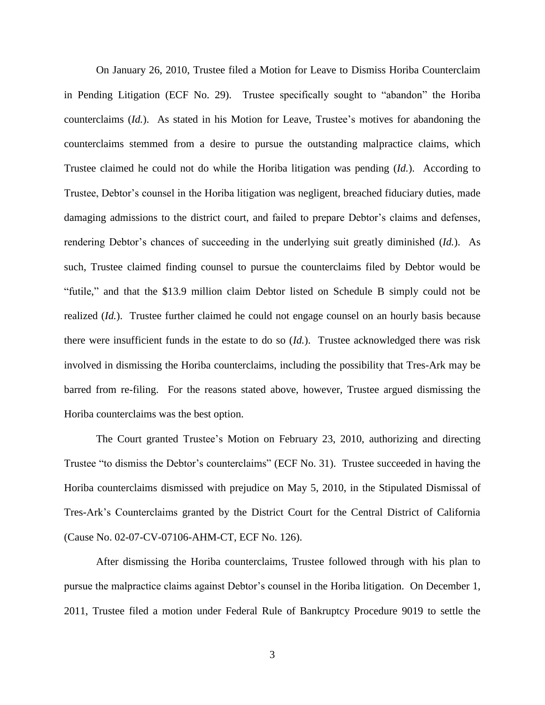On January 26, 2010, Trustee filed a Motion for Leave to Dismiss Horiba Counterclaim in Pending Litigation (ECF No. 29). Trustee specifically sought to "abandon" the Horiba counterclaims (*Id.*). As stated in his Motion for Leave, Trustee's motives for abandoning the counterclaims stemmed from a desire to pursue the outstanding malpractice claims, which Trustee claimed he could not do while the Horiba litigation was pending (*Id.*). According to Trustee, Debtor's counsel in the Horiba litigation was negligent, breached fiduciary duties, made damaging admissions to the district court, and failed to prepare Debtor's claims and defenses, rendering Debtor's chances of succeeding in the underlying suit greatly diminished (*Id.*). As such, Trustee claimed finding counsel to pursue the counterclaims filed by Debtor would be "futile," and that the \$13.9 million claim Debtor listed on Schedule B simply could not be realized (*Id.*). Trustee further claimed he could not engage counsel on an hourly basis because there were insufficient funds in the estate to do so (*Id.*). Trustee acknowledged there was risk involved in dismissing the Horiba counterclaims, including the possibility that Tres-Ark may be barred from re-filing. For the reasons stated above, however, Trustee argued dismissing the Horiba counterclaims was the best option.

The Court granted Trustee's Motion on February 23, 2010, authorizing and directing Trustee "to dismiss the Debtor's counterclaims" (ECF No. 31). Trustee succeeded in having the Horiba counterclaims dismissed with prejudice on May 5, 2010, in the Stipulated Dismissal of Tres-Ark's Counterclaims granted by the District Court for the Central District of California (Cause No. 02-07-CV-07106-AHM-CT, ECF No. 126).

After dismissing the Horiba counterclaims, Trustee followed through with his plan to pursue the malpractice claims against Debtor's counsel in the Horiba litigation. On December 1, 2011, Trustee filed a motion under Federal Rule of Bankruptcy Procedure 9019 to settle the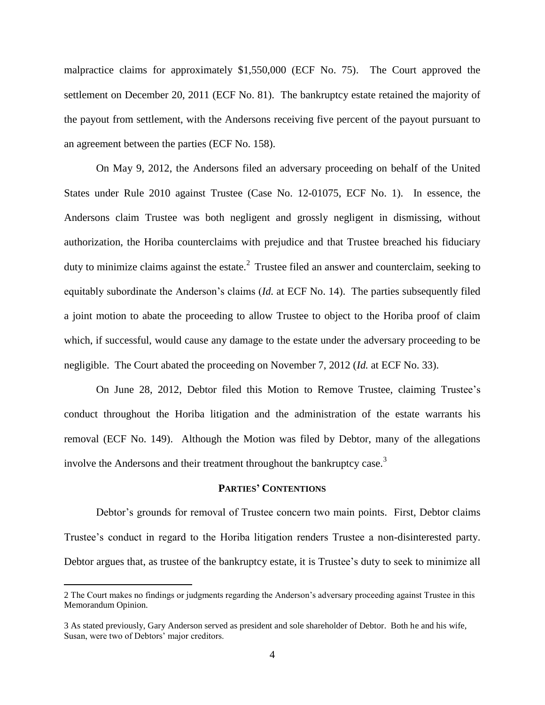malpractice claims for approximately \$1,550,000 (ECF No. 75). The Court approved the settlement on December 20, 2011 (ECF No. 81). The bankruptcy estate retained the majority of the payout from settlement, with the Andersons receiving five percent of the payout pursuant to an agreement between the parties (ECF No. 158).

On May 9, 2012, the Andersons filed an adversary proceeding on behalf of the United States under Rule 2010 against Trustee (Case No. 12-01075, ECF No. 1). In essence, the Andersons claim Trustee was both negligent and grossly negligent in dismissing, without authorization, the Horiba counterclaims with prejudice and that Trustee breached his fiduciary duty to minimize claims against the estate.<sup>2</sup> Trustee filed an answer and counterclaim, seeking to equitably subordinate the Anderson's claims (*Id.* at ECF No. 14). The parties subsequently filed a joint motion to abate the proceeding to allow Trustee to object to the Horiba proof of claim which, if successful, would cause any damage to the estate under the adversary proceeding to be negligible. The Court abated the proceeding on November 7, 2012 (*Id.* at ECF No. 33).

On June 28, 2012, Debtor filed this Motion to Remove Trustee, claiming Trustee's conduct throughout the Horiba litigation and the administration of the estate warrants his removal (ECF No. 149). Although the Motion was filed by Debtor, many of the allegations involve the Andersons and their treatment throughout the bankruptcy case.<sup>3</sup>

## **PARTIES' CONTENTIONS**

Debtor's grounds for removal of Trustee concern two main points. First, Debtor claims Trustee's conduct in regard to the Horiba litigation renders Trustee a non-disinterested party. Debtor argues that, as trustee of the bankruptcy estate, it is Trustee's duty to seek to minimize all

<sup>2</sup> The Court makes no findings or judgments regarding the Anderson's adversary proceeding against Trustee in this Memorandum Opinion.

<sup>3</sup> As stated previously, Gary Anderson served as president and sole shareholder of Debtor. Both he and his wife, Susan, were two of Debtors' major creditors.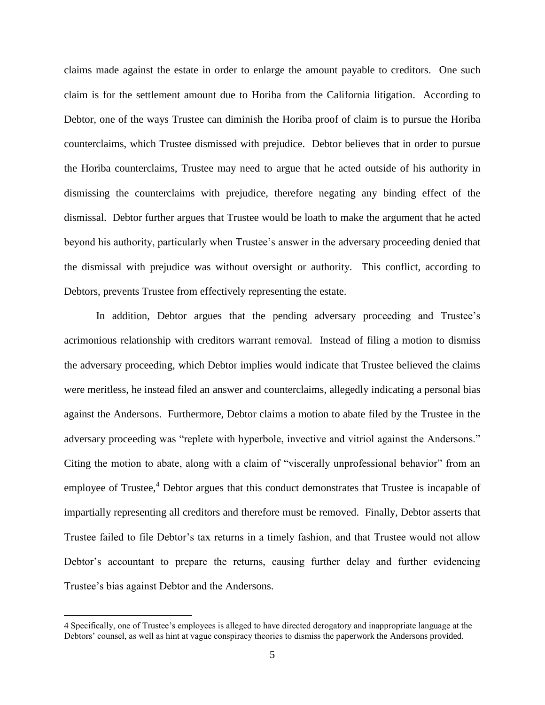claims made against the estate in order to enlarge the amount payable to creditors. One such claim is for the settlement amount due to Horiba from the California litigation. According to Debtor, one of the ways Trustee can diminish the Horiba proof of claim is to pursue the Horiba counterclaims, which Trustee dismissed with prejudice. Debtor believes that in order to pursue the Horiba counterclaims, Trustee may need to argue that he acted outside of his authority in dismissing the counterclaims with prejudice, therefore negating any binding effect of the dismissal. Debtor further argues that Trustee would be loath to make the argument that he acted beyond his authority, particularly when Trustee's answer in the adversary proceeding denied that the dismissal with prejudice was without oversight or authority. This conflict, according to Debtors, prevents Trustee from effectively representing the estate.

In addition, Debtor argues that the pending adversary proceeding and Trustee's acrimonious relationship with creditors warrant removal. Instead of filing a motion to dismiss the adversary proceeding, which Debtor implies would indicate that Trustee believed the claims were meritless, he instead filed an answer and counterclaims, allegedly indicating a personal bias against the Andersons. Furthermore, Debtor claims a motion to abate filed by the Trustee in the adversary proceeding was "replete with hyperbole, invective and vitriol against the Andersons." Citing the motion to abate, along with a claim of "viscerally unprofessional behavior" from an employee of Trustee, $4$  Debtor argues that this conduct demonstrates that Trustee is incapable of impartially representing all creditors and therefore must be removed. Finally, Debtor asserts that Trustee failed to file Debtor's tax returns in a timely fashion, and that Trustee would not allow Debtor's accountant to prepare the returns, causing further delay and further evidencing Trustee's bias against Debtor and the Andersons.

<sup>4</sup> Specifically, one of Trustee's employees is alleged to have directed derogatory and inappropriate language at the Debtors' counsel, as well as hint at vague conspiracy theories to dismiss the paperwork the Andersons provided.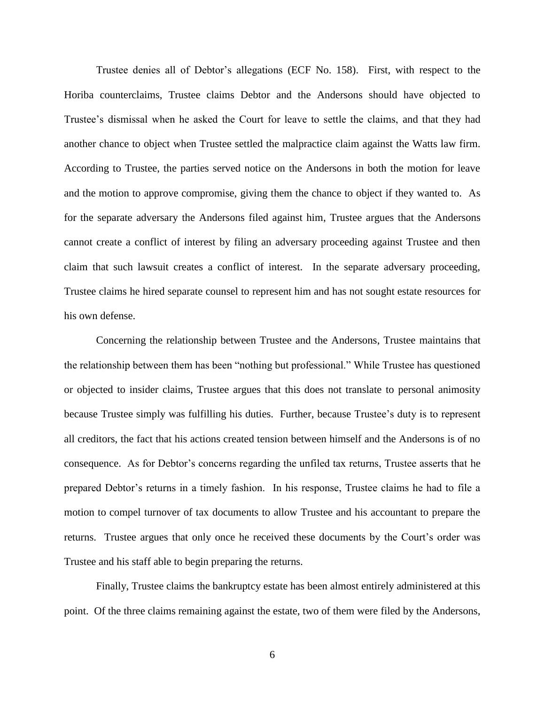Trustee denies all of Debtor's allegations (ECF No. 158). First, with respect to the Horiba counterclaims, Trustee claims Debtor and the Andersons should have objected to Trustee's dismissal when he asked the Court for leave to settle the claims, and that they had another chance to object when Trustee settled the malpractice claim against the Watts law firm. According to Trustee, the parties served notice on the Andersons in both the motion for leave and the motion to approve compromise, giving them the chance to object if they wanted to. As for the separate adversary the Andersons filed against him, Trustee argues that the Andersons cannot create a conflict of interest by filing an adversary proceeding against Trustee and then claim that such lawsuit creates a conflict of interest. In the separate adversary proceeding, Trustee claims he hired separate counsel to represent him and has not sought estate resources for his own defense.

Concerning the relationship between Trustee and the Andersons, Trustee maintains that the relationship between them has been "nothing but professional." While Trustee has questioned or objected to insider claims, Trustee argues that this does not translate to personal animosity because Trustee simply was fulfilling his duties. Further, because Trustee's duty is to represent all creditors, the fact that his actions created tension between himself and the Andersons is of no consequence. As for Debtor's concerns regarding the unfiled tax returns, Trustee asserts that he prepared Debtor's returns in a timely fashion. In his response, Trustee claims he had to file a motion to compel turnover of tax documents to allow Trustee and his accountant to prepare the returns. Trustee argues that only once he received these documents by the Court's order was Trustee and his staff able to begin preparing the returns.

Finally, Trustee claims the bankruptcy estate has been almost entirely administered at this point. Of the three claims remaining against the estate, two of them were filed by the Andersons,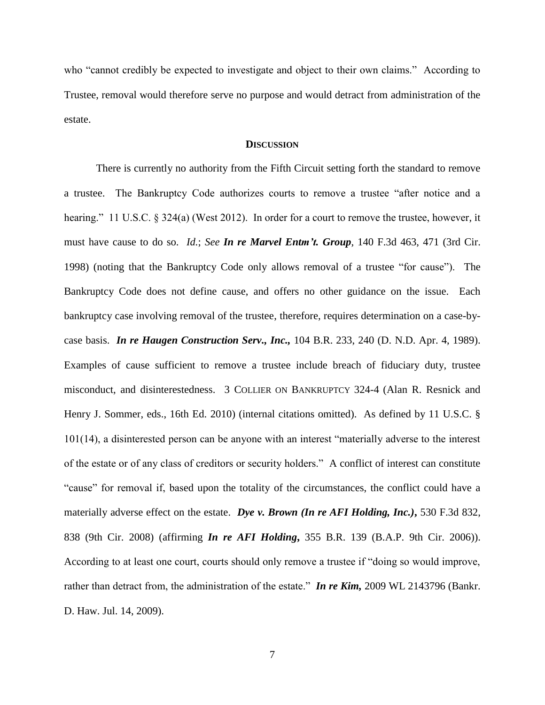who "cannot credibly be expected to investigate and object to their own claims." According to Trustee, removal would therefore serve no purpose and would detract from administration of the estate.

## **DISCUSSION**

There is currently no authority from the Fifth Circuit setting forth the standard to remove a trustee. The Bankruptcy Code authorizes courts to remove a trustee "after notice and a hearing." 11 U.S.C. § 324(a) (West 2012). In order for a court to remove the trustee, however, it must have cause to do so. *Id.*; *See In re Marvel Entm't. Group*, 140 F.3d 463, 471 (3rd Cir. 1998) (noting that the Bankruptcy Code only allows removal of a trustee "for cause"). The Bankruptcy Code does not define cause, and offers no other guidance on the issue. Each bankruptcy case involving removal of the trustee, therefore, requires determination on a case-bycase basis. *In re Haugen Construction Serv., Inc.,* 104 B.R. 233, 240 (D. N.D. Apr. 4, 1989). Examples of cause sufficient to remove a trustee include breach of fiduciary duty, trustee misconduct, and disinterestedness. 3 COLLIER ON BANKRUPTCY 324-4 (Alan R. Resnick and Henry J. Sommer, eds., 16th Ed. 2010) (internal citations omitted). As defined by 11 U.S.C. § 101(14), a disinterested person can be anyone with an interest "materially adverse to the interest of the estate or of any class of creditors or security holders." A conflict of interest can constitute "cause" for removal if, based upon the totality of the circumstances, the conflict could have a materially adverse effect on the estate. *Dye v. Brown (In re AFI Holding, Inc.)***,** 530 F.3d 832, 838 (9th Cir. 2008) (affirming *In re AFI Holding***,** 355 B.R. 139 (B.A.P. 9th Cir. 2006)). According to at least one court, courts should only remove a trustee if "doing so would improve, rather than detract from, the administration of the estate." *In re Kim,* 2009 WL 2143796 (Bankr. D. Haw. Jul. 14, 2009).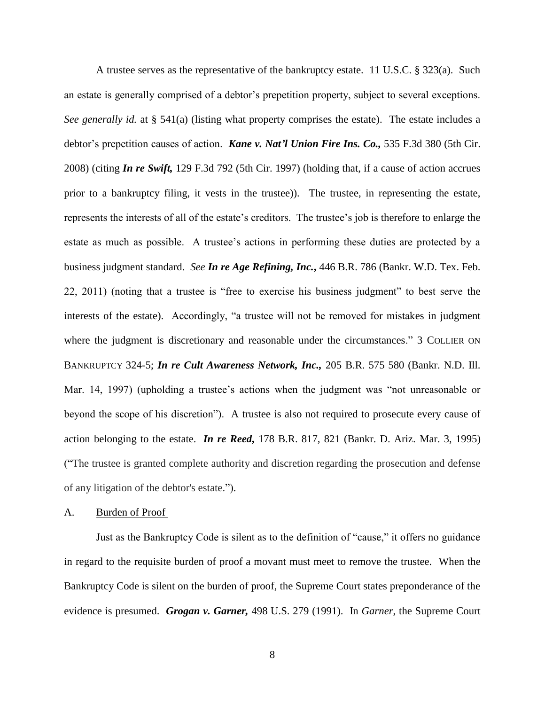A trustee serves as the representative of the bankruptcy estate. 11 U.S.C. § 323(a). Such an estate is generally comprised of a debtor's prepetition property, subject to several exceptions. *See generally id.* at § 541(a) (listing what property comprises the estate). The estate includes a debtor's prepetition causes of action. *Kane v. Nat'l Union Fire Ins. Co.,* 535 F.3d 380 (5th Cir. 2008) (citing *In re Swift,* 129 F.3d 792 (5th Cir. 1997) (holding that, if a cause of action accrues prior to a bankruptcy filing, it vests in the trustee)). The trustee, in representing the estate, represents the interests of all of the estate's creditors. The trustee's job is therefore to enlarge the estate as much as possible. A trustee's actions in performing these duties are protected by a business judgment standard. *See In re Age Refining, Inc.***,** 446 B.R. 786 (Bankr. W.D. Tex. Feb. 22, 2011) (noting that a trustee is "free to exercise his business judgment" to best serve the interests of the estate). Accordingly, "a trustee will not be removed for mistakes in judgment where the judgment is discretionary and reasonable under the circumstances." 3 COLLIER ON BANKRUPTCY 324-5; *In re Cult Awareness Network, Inc.,* 205 B.R. 575 580 (Bankr. N.D. Ill. Mar. 14, 1997) (upholding a trustee's actions when the judgment was "not unreasonable or beyond the scope of his discretion"). A trustee is also not required to prosecute every cause of action belonging to the estate. *In re Reed***,** 178 B.R. 817, 821 (Bankr. D. Ariz. Mar. 3, 1995) ("The trustee is granted complete authority and discretion regarding the prosecution and defense of any litigation of the debtor's estate.").

#### A. Burden of Proof

Just as the Bankruptcy Code is silent as to the definition of "cause," it offers no guidance in regard to the requisite burden of proof a movant must meet to remove the trustee. When the Bankruptcy Code is silent on the burden of proof, the Supreme Court states preponderance of the evidence is presumed. *Grogan v. Garner,* 498 U.S. 279 (1991). In *Garner*, the Supreme Court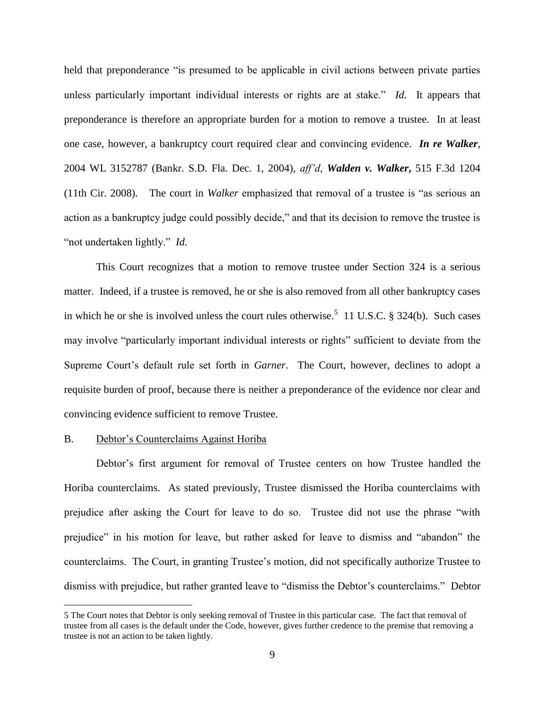held that preponderance "is presumed to be applicable in civil actions between private parties unless particularly important individual interests or rights are at stake." *Id.* It appears that preponderance is therefore an appropriate burden for a motion to remove a trustee. In at least one case, however, a bankruptcy court required clear and convincing evidence. *In re Walker*, 2004 WL 3152787 (Bankr. S.D. Fla. Dec. 1, 2004), *aff'd*, *Walden v. Walker***,** 515 F.3d 1204 (11th Cir. 2008). The court in *Walker* emphasized that removal of a trustee is "as serious an action as a bankruptcy judge could possibly decide," and that its decision to remove the trustee is "not undertaken lightly." *Id.*

This Court recognizes that a motion to remove trustee under Section 324 is a serious matter. Indeed, if a trustee is removed, he or she is also removed from all other bankruptcy cases in which he or she is involved unless the court rules otherwise.<sup>5</sup> 11 U.S.C. § 324(b). Such cases may involve "particularly important individual interests or rights" sufficient to deviate from the Supreme Court's default rule set forth in *Garner*. The Court, however, declines to adopt a requisite burden of proof, because there is neither a preponderance of the evidence nor clear and convincing evidence sufficient to remove Trustee.

# B. Debtor's Counterclaims Against Horiba

 $\overline{a}$ 

Debtor's first argument for removal of Trustee centers on how Trustee handled the Horiba counterclaims. As stated previously, Trustee dismissed the Horiba counterclaims with prejudice after asking the Court for leave to do so. Trustee did not use the phrase "with prejudice" in his motion for leave, but rather asked for leave to dismiss and "abandon" the counterclaims. The Court, in granting Trustee's motion, did not specifically authorize Trustee to dismiss with prejudice, but rather granted leave to "dismiss the Debtor's counterclaims." Debtor

<sup>5</sup> The Court notes that Debtor is only seeking removal of Trustee in this particular case. The fact that removal of trustee from all cases is the default under the Code, however, gives further credence to the premise that removing a trustee is not an action to be taken lightly.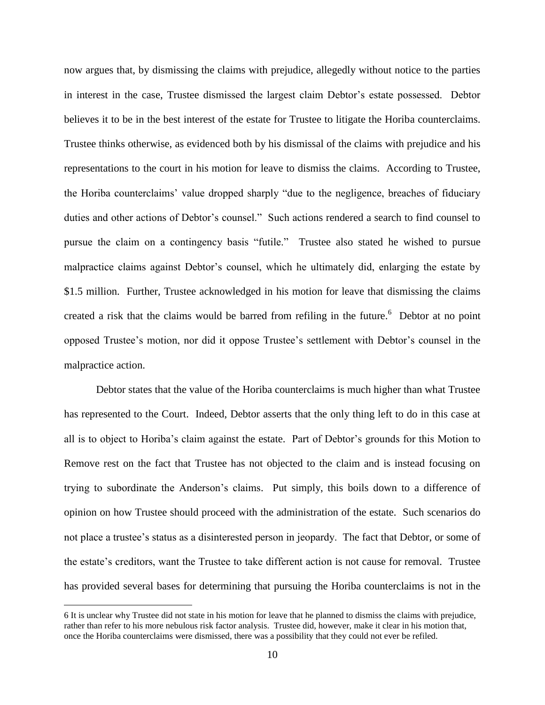now argues that, by dismissing the claims with prejudice, allegedly without notice to the parties in interest in the case, Trustee dismissed the largest claim Debtor's estate possessed. Debtor believes it to be in the best interest of the estate for Trustee to litigate the Horiba counterclaims. Trustee thinks otherwise, as evidenced both by his dismissal of the claims with prejudice and his representations to the court in his motion for leave to dismiss the claims. According to Trustee, the Horiba counterclaims' value dropped sharply "due to the negligence, breaches of fiduciary duties and other actions of Debtor's counsel." Such actions rendered a search to find counsel to pursue the claim on a contingency basis "futile." Trustee also stated he wished to pursue malpractice claims against Debtor's counsel, which he ultimately did, enlarging the estate by \$1.5 million. Further, Trustee acknowledged in his motion for leave that dismissing the claims created a risk that the claims would be barred from refiling in the future.<sup>6</sup> Debtor at no point opposed Trustee's motion, nor did it oppose Trustee's settlement with Debtor's counsel in the malpractice action.

Debtor states that the value of the Horiba counterclaims is much higher than what Trustee has represented to the Court. Indeed, Debtor asserts that the only thing left to do in this case at all is to object to Horiba's claim against the estate. Part of Debtor's grounds for this Motion to Remove rest on the fact that Trustee has not objected to the claim and is instead focusing on trying to subordinate the Anderson's claims. Put simply, this boils down to a difference of opinion on how Trustee should proceed with the administration of the estate. Such scenarios do not place a trustee's status as a disinterested person in jeopardy. The fact that Debtor, or some of the estate's creditors, want the Trustee to take different action is not cause for removal. Trustee has provided several bases for determining that pursuing the Horiba counterclaims is not in the

<sup>6</sup> It is unclear why Trustee did not state in his motion for leave that he planned to dismiss the claims with prejudice, rather than refer to his more nebulous risk factor analysis. Trustee did, however, make it clear in his motion that, once the Horiba counterclaims were dismissed, there was a possibility that they could not ever be refiled.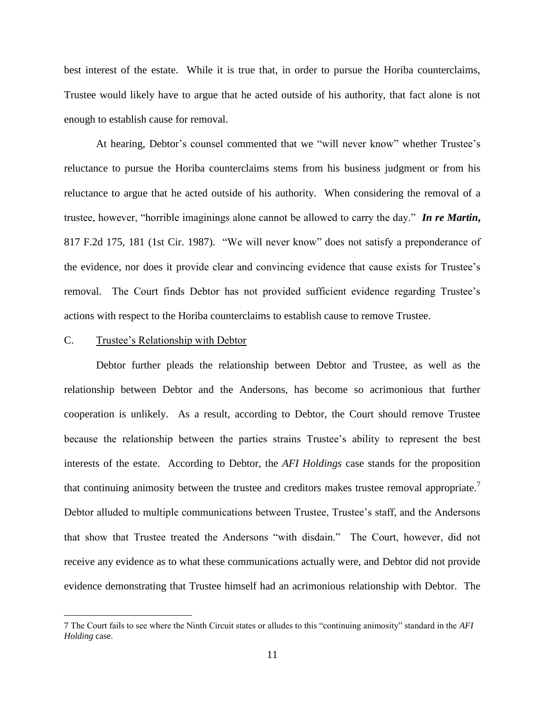best interest of the estate. While it is true that, in order to pursue the Horiba counterclaims, Trustee would likely have to argue that he acted outside of his authority, that fact alone is not enough to establish cause for removal.

At hearing, Debtor's counsel commented that we "will never know" whether Trustee's reluctance to pursue the Horiba counterclaims stems from his business judgment or from his reluctance to argue that he acted outside of his authority. When considering the removal of a trustee, however, "horrible imaginings alone cannot be allowed to carry the day." *In re Martin***,**  817 F.2d 175, 181 (1st Cir. 1987). "We will never know" does not satisfy a preponderance of the evidence, nor does it provide clear and convincing evidence that cause exists for Trustee's removal. The Court finds Debtor has not provided sufficient evidence regarding Trustee's actions with respect to the Horiba counterclaims to establish cause to remove Trustee.

## C. Trustee's Relationship with Debtor

 $\overline{a}$ 

Debtor further pleads the relationship between Debtor and Trustee, as well as the relationship between Debtor and the Andersons, has become so acrimonious that further cooperation is unlikely. As a result, according to Debtor, the Court should remove Trustee because the relationship between the parties strains Trustee's ability to represent the best interests of the estate. According to Debtor, the *AFI Holdings* case stands for the proposition that continuing animosity between the trustee and creditors makes trustee removal appropriate.<sup>7</sup> Debtor alluded to multiple communications between Trustee, Trustee's staff, and the Andersons that show that Trustee treated the Andersons "with disdain." The Court, however, did not receive any evidence as to what these communications actually were, and Debtor did not provide evidence demonstrating that Trustee himself had an acrimonious relationship with Debtor. The

<sup>7</sup> The Court fails to see where the Ninth Circuit states or alludes to this "continuing animosity" standard in the *AFI Holding* case.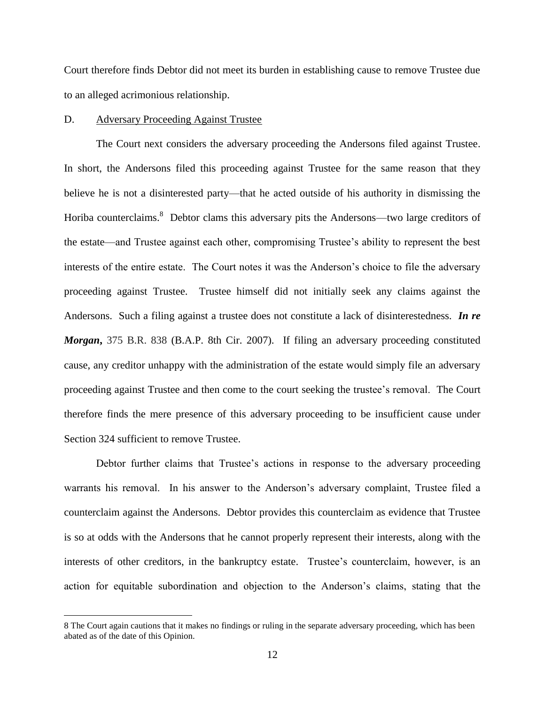Court therefore finds Debtor did not meet its burden in establishing cause to remove Trustee due to an alleged acrimonious relationship.

## D. Adversary Proceeding Against Trustee

 $\overline{a}$ 

The Court next considers the adversary proceeding the Andersons filed against Trustee. In short, the Andersons filed this proceeding against Trustee for the same reason that they believe he is not a disinterested party—that he acted outside of his authority in dismissing the Horiba counterclaims.<sup>8</sup> Debtor clams this adversary pits the Andersons—two large creditors of the estate—and Trustee against each other, compromising Trustee's ability to represent the best interests of the entire estate. The Court notes it was the Anderson's choice to file the adversary proceeding against Trustee. Trustee himself did not initially seek any claims against the Andersons. Such a filing against a trustee does not constitute a lack of disinterestedness. *In re Morgan***,** 375 B.R. 838 (B.A.P. 8th Cir. 2007). If filing an adversary proceeding constituted cause, any creditor unhappy with the administration of the estate would simply file an adversary proceeding against Trustee and then come to the court seeking the trustee's removal. The Court therefore finds the mere presence of this adversary proceeding to be insufficient cause under Section 324 sufficient to remove Trustee.

Debtor further claims that Trustee's actions in response to the adversary proceeding warrants his removal. In his answer to the Anderson's adversary complaint, Trustee filed a counterclaim against the Andersons. Debtor provides this counterclaim as evidence that Trustee is so at odds with the Andersons that he cannot properly represent their interests, along with the interests of other creditors, in the bankruptcy estate. Trustee's counterclaim, however, is an action for equitable subordination and objection to the Anderson's claims, stating that the

<sup>8</sup> The Court again cautions that it makes no findings or ruling in the separate adversary proceeding, which has been abated as of the date of this Opinion.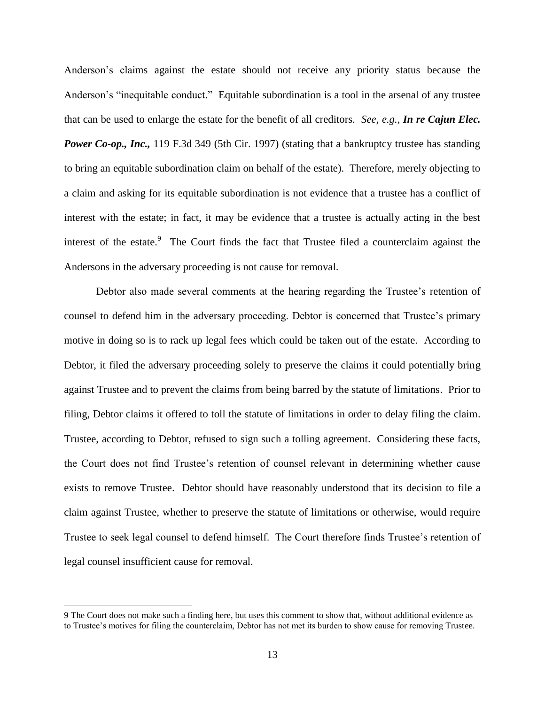Anderson's claims against the estate should not receive any priority status because the Anderson's "inequitable conduct." Equitable subordination is a tool in the arsenal of any trustee that can be used to enlarge the estate for the benefit of all creditors. *See, e.g., In re Cajun Elec. Power Co-op., Inc.,* 119 F.3d 349 (5th Cir. 1997) (stating that a bankruptcy trustee has standing to bring an equitable subordination claim on behalf of the estate). Therefore, merely objecting to a claim and asking for its equitable subordination is not evidence that a trustee has a conflict of interest with the estate; in fact, it may be evidence that a trustee is actually acting in the best interest of the estate.<sup>9</sup> The Court finds the fact that Trustee filed a counterclaim against the Andersons in the adversary proceeding is not cause for removal.

Debtor also made several comments at the hearing regarding the Trustee's retention of counsel to defend him in the adversary proceeding. Debtor is concerned that Trustee's primary motive in doing so is to rack up legal fees which could be taken out of the estate. According to Debtor, it filed the adversary proceeding solely to preserve the claims it could potentially bring against Trustee and to prevent the claims from being barred by the statute of limitations. Prior to filing, Debtor claims it offered to toll the statute of limitations in order to delay filing the claim. Trustee, according to Debtor, refused to sign such a tolling agreement. Considering these facts, the Court does not find Trustee's retention of counsel relevant in determining whether cause exists to remove Trustee. Debtor should have reasonably understood that its decision to file a claim against Trustee, whether to preserve the statute of limitations or otherwise, would require Trustee to seek legal counsel to defend himself. The Court therefore finds Trustee's retention of legal counsel insufficient cause for removal.

<sup>9</sup> The Court does not make such a finding here, but uses this comment to show that, without additional evidence as to Trustee's motives for filing the counterclaim, Debtor has not met its burden to show cause for removing Trustee.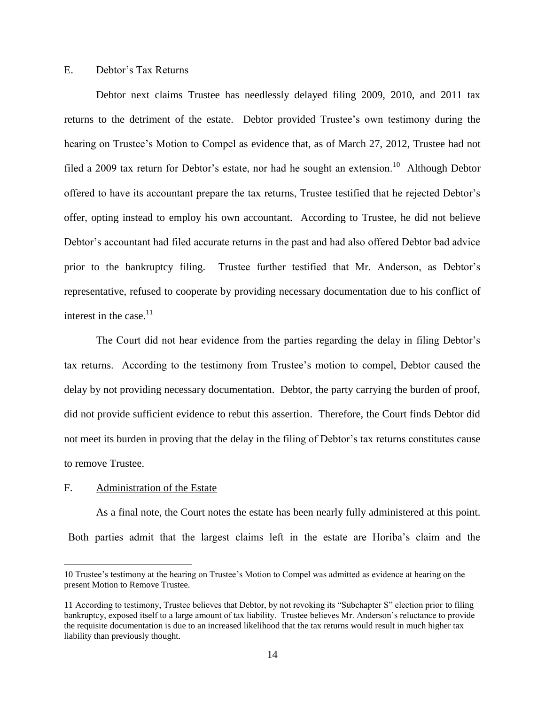## E. Debtor's Tax Returns

Debtor next claims Trustee has needlessly delayed filing 2009, 2010, and 2011 tax returns to the detriment of the estate. Debtor provided Trustee's own testimony during the hearing on Trustee's Motion to Compel as evidence that, as of March 27, 2012, Trustee had not filed a 2009 tax return for Debtor's estate, nor had he sought an extension.<sup>10</sup> Although Debtor offered to have its accountant prepare the tax returns, Trustee testified that he rejected Debtor's offer, opting instead to employ his own accountant. According to Trustee, he did not believe Debtor's accountant had filed accurate returns in the past and had also offered Debtor bad advice prior to the bankruptcy filing. Trustee further testified that Mr. Anderson, as Debtor's representative, refused to cooperate by providing necessary documentation due to his conflict of interest in the case. $11$ 

The Court did not hear evidence from the parties regarding the delay in filing Debtor's tax returns. According to the testimony from Trustee's motion to compel, Debtor caused the delay by not providing necessary documentation. Debtor, the party carrying the burden of proof, did not provide sufficient evidence to rebut this assertion. Therefore, the Court finds Debtor did not meet its burden in proving that the delay in the filing of Debtor's tax returns constitutes cause to remove Trustee.

## F. Administration of the Estate

 $\overline{a}$ 

As a final note, the Court notes the estate has been nearly fully administered at this point. Both parties admit that the largest claims left in the estate are Horiba's claim and the

<sup>10</sup> Trustee's testimony at the hearing on Trustee's Motion to Compel was admitted as evidence at hearing on the present Motion to Remove Trustee.

<sup>11</sup> According to testimony, Trustee believes that Debtor, by not revoking its "Subchapter S" election prior to filing bankruptcy, exposed itself to a large amount of tax liability. Trustee believes Mr. Anderson's reluctance to provide the requisite documentation is due to an increased likelihood that the tax returns would result in much higher tax liability than previously thought.